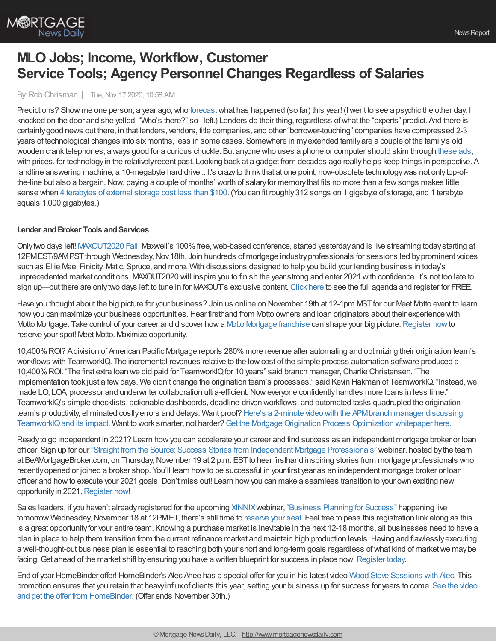

# **MLO Jobs; Income, Workflow, Customer Service Tools; Agency Personnel Changes Regardless of Salaries**

By: Rob Chrisman | Tue, Nov 17 2020, 10:58 AM

Predictions? Show me one person, a year ago, who [forecast](https://www.stratmorgroup.com/do-lenders-care-about-forecasts-or-predictions/) what has happened (so far) this year! (I went to see a psychic the other day. I knocked on the door and she yelled, "Who's there?" so I left.) Lenders do their thing, regardless ofwhat the "experts" predict. And there is certainlygood news out there, in that lenders, vendors, title companies, and other "borrower-touching" companies have compressed 2-3 years of technological changes into sixmonths, less in some cases. Somewhere in myextended familyare a couple of the family's old wooden crank telephones, always good for a curious chuckle. But anyone who uses a phone or computer should skim through [these](https://www.boredpanda.com/old-obsolete-vintage-technology-ads/?) ads, with prices, for technologyin the relativelyrecent past. Looking back at a gadget from decades ago reallyhelps keep things in perspective. A landline answering machine, a 10-megabyte hard drive... It's crazy to think that at one point, now-obsolete technology was not only top-ofthe-line but also a bargain. Now, paying a couple of months' worth of salary for memory that fits no more than a few songs makes little sense when 4 [terabytes](https://www.amazon.com/Western-Digital-Elements-Portable-External/dp/B0713WPGLL/ref=as_li_ss_tl?ie=UTF8&linkCode=ll1&tag=vilofjoy-20&linkId=b534ee7724eb720156d8d64d4c29cf13&language=en_US) of external storage cost less than \$100. (You can fit roughly 312 songs on 1 gigabyte of storage, and 1 terabyte equals 1,000 gigabytes.)

### **Lender** and Broker Tools and Services

Onlytwo days left! [MAXOUT2020](https://demo.himaxwell.com/MAXOUT-Register) Fall, Maxwell's 100%free,web-based conference, started yesterdayand is live streaming todaystarting at 12PMEST/9AMPST through Wednesday, Nov 18th. Join hundreds of mortgage industry professionals for sessions led by prominent voices such as Ellie Mae, Finicity, Matic, Spruce, and more. With discussions designed to help you build your lending business in today's unprecedented market conditions, MAXOUT2020 will inspire you to finish the year strong and enter 2021 with confidence. It's not too late to sign up—but there are onlytwo days left to tune in for MAXOUT's exclusive content. [Click](https://demo.himaxwell.com/MAXOUT-Register) here to see the full agenda and register for FREE.

Have you thought about the big picture for your business? Join us online on November 19th at 12-1pm MST for our Meet Motto event to learn how you can maximize your business opportunities. Hear firsthand from Motto owners and loan originators about their experience with Motto [Mortgage](https://www.mottomortgage.com/loan-originator?utm_source=chrisman&utm_medium=newsletter&utm_campaign=nov2020). Take control of your career and discover how a Motto Mortgage franchise can shape your big picture. [Register](https://mottomortgage.zoom.us/webinar/register/WN_Y-SNbZIoQm2gNGV5JuASbw) now to reserve your spot! Meet Motto. Maximize opportunity.

10,400%ROI? Adivision of American Pacific Mortgage reports 280%more revenue after automating and optimizing their origination team's workflows with TeamworkIQ. The incremental revenues relative to the lowcost of the simple process automation software produced a 10,400%ROI. "The first extra loan we did paid for TeamworkIQfor 10 years" said branch manager,Charlie Christensen. "The implementation took just a fewdays. We didn't change the origination team's processes," said Kevin Hakman of TeamworkIQ. "Instead,we made LO, LOA, processor and underwriter collaboration ultra-efficient. Now everyone confidently handles more loans in less time." TeamworkIQ's simple checklists, actionable dashboards, deadline-driven workflows, and automated tasks quadrupled the origination team's productivity, eliminated costlyerrors and delays. Want proof? Here's a 2-minute video with the APMbranch manager discussing TeamworkIQ and its impact. Want to work smarter, not harder? Get the Mortgage Origination Process Optimization whitepaper here.

Readyto go independent in 2021? Learn howyou can accelerate your career and find success as an independent mortgage broker or loan officer. Sign up for our "Straight from the Source: Success Stories from Independent Mortgage [Professionals"](https://uwm.zoom.us/webinar/register/7016019897492/WN_CRMhWS7RTZ6lqu1Hu3v6Ag?utm_source=newsletter&utm_medium=email&utm_campaign=bamb_rob_chrisman&utm_content=webinar) webinar, hosted bythe team at BeAMortgageBroker.com, on Thursday, November 19 at 2 p.m. EST to hear firsthand inspiring stories from mortgage professionals who recentlyopened or joined a broker shop. You'll learn howto be successful in your first year as an independent mortgage broker or loan officer and howto execute your 2021 goals.Don't miss out! Learn howyou can make a seamless transition to your own exciting new opportunityin 2021.[Register](https://uwm.zoom.us/webinar/register/7016019897492/WN_CRMhWS7RTZ6lqu1Hu3v6Ag?utm_source=newsletter&utm_medium=email&utm_campaign=bamb_rob_chrisman&utm_content=webinar) now!

Sales leaders, if you haven't already registered for the upcoming [XINNIX](https://www.xinnix.com/) webinar, ["Business](https://bit.ly/2HtxIOb) Planning for Success" happening live tomorrow Wednesday, November 18 at 12PMET, there's still time to [reserve](https://bit.ly/2HtxIOb) your seat. Feel free to pass this registration link along as this is a great opportunityfor your entire team. Knowing a purchase market is inevitable in the next 12-18 months, all businesses need to have a plan in place to help them transition from the current refinance market and maintain high production levels. Having and flawlessly executing a well-thought-out business plan is essential to reaching both your short and long-term goals regardless ofwhat kind of marketwe maybe facing. Get ahead of the market shift by ensuring you have a written blueprint for success in place now! [Register](https://bit.ly/2HtxIOb) today.

End of year HomeBinder offer!HomeBinder's Alec Ahee has a special offer for you in his latest video Wood Stove [Sessions](https://pages.homebinder.com/end-of-year-lender-offer?utm_campaign=Lender%20Vertical%20Campaign&utm_source=chrisman&utm_medium=Nov-10) with Alec. This promotion ensures that you retain that [heavyinfluxof](https://pages.homebinder.com/end-of-year-lender-offer?utm_campaign=Lender%20Vertical%20Campaign&utm_source=chrisman&utm_medium=Nov-10) clients this year, setting your business up for success for years to come. See the video and get the offer from HomeBinder. (Offer ends November 30th.)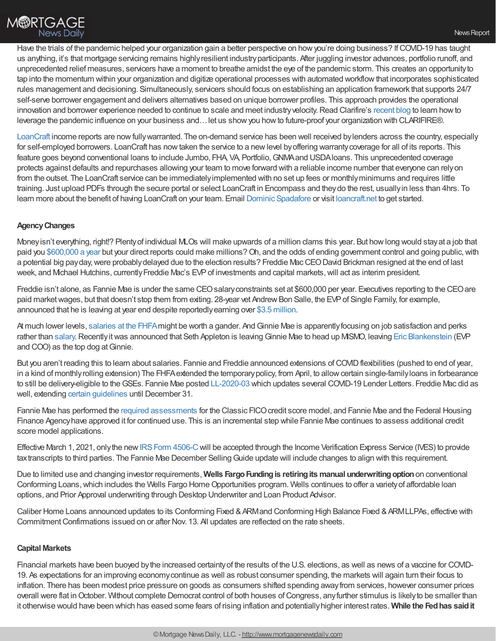Have the trials of the pandemic helped your organization gain a better perspective on how you're doing business? If COVID-19 has taught us anything, it's that mortgage servicing remains highlyresilient industryparticipants. After juggling investor advances, portfolio runoff, and unprecedented relief measures, servicers have a moment to breathe amidst the eye of the pandemic storm. This creates an opportunityto tap into the momentum within your organization and digitize operational processes with automated workflowthat incorporates sophisticated rules management and decisioning. Simultaneously, servicers should focus on establishing an application framework that supports 24/7 self-serve borrower engagement and delivers alternatives based on unique borrower profiles. This approach provides the operational innovation and borrower experience needed to continue to scale and meet industry velocity. Read Clarifire's [recent](https://bit.ly/32QcYrz) blog to learn how to leverage the pandemic influence on your business and…let us showyou howto future-proof your organization with CLARIFIRE®.

[LoanCraft](http://www.loancraft.net/) income reports are nowfullywarranted. The on-demand service has been well received bylenders across the country, especially for self-employed borrowers. LoanCraft has nowtaken the service to a newlevel byoffering warrantycoverage for all of its reports. This feature goes beyond conventional loans to include Jumbo, FHA, VA, Portfolio,GNMAand USDAloans. This unprecedented coverage protects against defaults and repurchases allowing your team to move forward with a reliable income number that everyone can relyon from the outset. The LoanCraft service can be immediatelyimplemented with no set up fees or monthlyminimums and requires little training. Just upload PDFs through the secure portal or select LoanCraft in Encompass and theydo the rest, usuallyin less than 4hrs. To learn more about the benefit of having LoanCraft on your team. Email Dominic [Spadafore](http://dspadafore@loancraft.net/) or visit [loancraft.net](http://www.loancraft.net/) to get started.

## **AgencyChanges**

Moneyisn't everything, right!? Plentyof individual MLOs will make upwards of a million clams this year. But howlong would stayat a job that paid you [\\$600,000](https://www.fhfa.gov/PolicyProgramsResearch/Policy/Documents/Employee-Compensation-Policies-and-Practices-at-Freddie-Mac.pdf) a year but your direct reports could make millions? Oh, and the odds of ending government control and going public, with a potential big payday, were probably delayed due to the election results? Freddie Mac CEO David Brickman resigned at the end of last week, and Michael Hutchins, currently Freddie Mac's EVP of investments and capital markets, will act as interim president.

Freddie isn't alone, as Fannie Mae is under the same CEOsalaryconstraints set at \$600,000 per year. Executives reporting to the CEOare paid market wages, but that doesn't stop them from exiting. 28-year vet Andrew Bon Salle, the EVP of Single Family, for example, announced that he is leaving at year end despite reportedlyearning over \$3.5 [million](https://www.salary.com/tools/executive-compensation-calculator/andrew-bon-salle-salary-bonus-stock-options-for-federal-national-mortga-assn).

At much lower levels, [salaries](https://www.federalpay.org/employees/federal-housing-finance-agency) at the FHFA might be worth a gander. And Ginnie Mae is apparently focusing on job satisfaction and perks rather than [salary](https://www.federalpay.org/employees/government-national-mortgage-association/top-100). Recently it was announced that Seth Appleton is leaving Ginnie Mae to head up MISMO, leaving Eric [Blankenstein](https://www.ginniemae.gov/about_us/who_we_are/pages/leadership_bio.aspx?ParamID=24) (EVP and COO) as the top dog at Ginnie.

But you aren't reading this to learn about salaries. Fannie and Freddie announced extensions of COVID flexibilities (pushed to end of year, in a kind of monthly rolling extension) The FHFA extended the temporary policy, from April, to allow certain single-family loans in forbearance to still be delivery-eligible to the GSEs. Fannie Mae posted [LL-2020-03](https://singlefamily.fanniemae.com/media/22316/display) which updates several COVID-19 Lender Letters. Freddie Mac did as well, extending certain [guidelines](https://guide.freddiemac.com/app/guide/bulletin/2020-5) until December 31.

Fannie Mae has performed the required [assessments](https://singlefamily.fanniemae.com/originating-underwriting/credit-score-models) for the Classic FICO credit score model, and Fannie Mae and the Federal Housing Finance Agencyhave approved it for continued use. This is an incremental step while Fannie Mae continues to assess additional credit score model applications.

Effective March 1, 2021, only the new IRS Form 4506-C will be accepted through the Income Verification Express Service (IVES) to provide tax transcripts to third parties. The Fannie Mae December Selling Guide update will include changes to align with this requirement.

Due to limited use and changing investor requirements, **Wells FargoFundingis retiringits manual underwritingoption**on conventional Conforming Loans, which includes the Wells Fargo Home Opportunities program. Wells continues to offer a variety of affordable loan options, and Prior Approval underwriting through Desktop Underwriter and Loan Product Advisor.

Caliber Home Loans announced updates to its Conforming Fixed & ARMand Conforming High Balance Fixed & ARMLLPAs, effective with CommitmentConfirmations issued on or after Nov. 13. All updates are reflected on the rate sheets.

### **Capital Markets**

Financial markets have been buoyed bythe increased certaintyof the results of the U.S. elections, as well as news of a vaccine for COVID-19. As expectations for an improving economycontinue as well as robust consumer spending, the markets will again turn their focus to inflation. There has been modest price pressure on goods as consumers shifted spending awayfrom services, however consumer prices overall were flat in October. Without complete Democrat control of both houses of Congress, any further stimulus is likely to be smaller than it otherwise would have been which has eased some fears of rising inflation and potentiallyhigher interest rates. **While the Fedhas saidit**